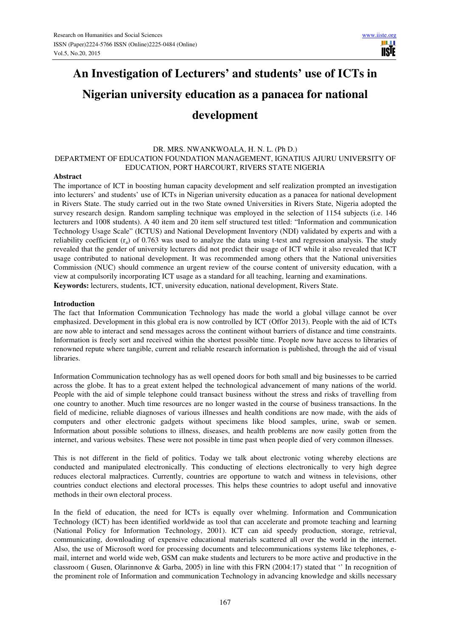# **An Investigation of Lecturers' and students' use of ICTs in Nigerian university education as a panacea for national development**

## DR. MRS. NWANKWOALA, H. N. L. (Ph D.) DEPARTMENT OF EDUCATION FOUNDATION MANAGEMENT, IGNATIUS AJURU UNIVERSITY OF EDUCATION, PORT HARCOURT, RIVERS STATE NIGERIA

#### **Abstract**

The importance of ICT in boosting human capacity development and self realization prompted an investigation into lecturers' and students' use of ICTs in Nigerian university education as a panacea for national development in Rivers State. The study carried out in the two State owned Universities in Rivers State, Nigeria adopted the survey research design. Random sampling technique was employed in the selection of 1154 subjects (i.e. 146 lecturers and 1008 students). A 40 item and 20 item self structured test titled: "Information and communication Technology Usage Scale" (ICTUS) and National Development Inventory (NDI) validated by experts and with a reliability coefficient  $(r_a)$  of 0.763 was used to analyze the data using t-test and regression analysis. The study revealed that the gender of university lecturers did not predict their usage of ICT while it also revealed that ICT usage contributed to national development. It was recommended among others that the National universities Commission (NUC) should commence an urgent review of the course content of university education, with a view at compulsorily incorporating ICT usage as a standard for all teaching, learning and examinations. **Keywords:** lecturers, students, ICT, university education, national development, Rivers State.

#### **Introduction**

The fact that Information Communication Technology has made the world a global village cannot be over emphasized. Development in this global era is now controlled by ICT (Offor 2013). People with the aid of ICTs are now able to interact and send messages across the continent without barriers of distance and time constraints. Information is freely sort and received within the shortest possible time. People now have access to libraries of renowned repute where tangible, current and reliable research information is published, through the aid of visual libraries.

Information Communication technology has as well opened doors for both small and big businesses to be carried across the globe. It has to a great extent helped the technological advancement of many nations of the world. People with the aid of simple telephone could transact business without the stress and risks of travelling from one country to another. Much time resources are no longer wasted in the course of business transactions. In the field of medicine, reliable diagnoses of various illnesses and health conditions are now made, with the aids of computers and other electronic gadgets without specimens like blood samples, urine, swab or semen. Information about possible solutions to illness, diseases, and health problems are now easily gotten from the internet, and various websites. These were not possible in time past when people died of very common illnesses.

This is not different in the field of politics. Today we talk about electronic voting whereby elections are conducted and manipulated electronically. This conducting of elections electronically to very high degree reduces electoral malpractices. Currently, countries are opportune to watch and witness in televisions, other countries conduct elections and electoral processes. This helps these countries to adopt useful and innovative methods in their own electoral process.

In the field of education, the need for ICTs is equally over whelming. Information and Communication Technology (ICT) has been identified worldwide as tool that can accelerate and promote teaching and learning (National Policy for Information Technology, 2001). ICT can aid speedy production, storage, retrieval, communicating, downloading of expensive educational materials scattered all over the world in the internet. Also, the use of Microsoft word for processing documents and telecommunications systems like telephones, email, internet and world wide web, GSM can make students and lecturers to be more active and productive in the classroom ( Gusen, Olarinnonve & Garba, 2005) in line with this FRN (2004:17) stated that '' In recognition of the prominent role of Information and communication Technology in advancing knowledge and skills necessary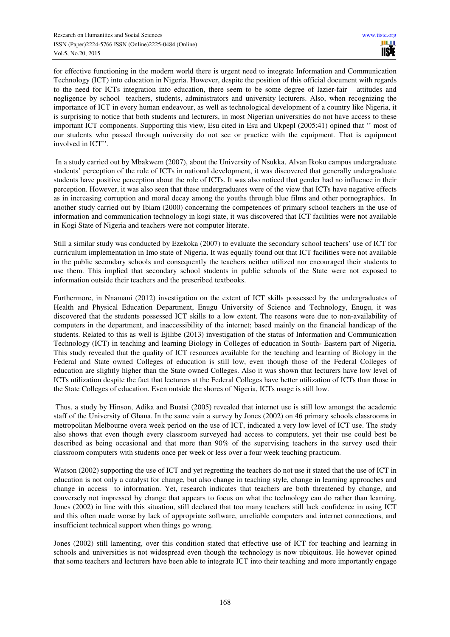for effective functioning in the modern world there is urgent need to integrate Information and Communication Technology (ICT) into education in Nigeria. However, despite the position of this official document with regards to the need for ICTs integration into education, there seem to be some degree of lazier-fair attitudes and negligence by school teachers, students, administrators and university lecturers. Also, when recognizing the importance of ICT in every human endeavour, as well as technological development of a country like Nigeria, it is surprising to notice that both students and lecturers, in most Nigerian universities do not have access to these important ICT components. Supporting this view, Esu cited in Esu and Ukpepl (2005:41) opined that '' most of our students who passed through university do not see or practice with the equipment. That is equipment involved in ICT''.

 In a study carried out by Mbakwem (2007), about the University of Nsukka, Alvan Ikoku campus undergraduate students' perception of the role of ICTs in national development, it was discovered that generally undergraduate students have positive perception about the role of ICTs. It was also noticed that gender had no influence in their perception. However, it was also seen that these undergraduates were of the view that ICTs have negative effects as in increasing corruption and moral decay among the youths through blue films and other pornographies. In another study carried out by Ibiam (2000) concerning the competences of primary school teachers in the use of information and communication technology in kogi state, it was discovered that ICT facilities were not available in Kogi State of Nigeria and teachers were not computer literate.

Still a similar study was conducted by Ezekoka (2007) to evaluate the secondary school teachers' use of ICT for curriculum implementation in Imo state of Nigeria. It was equally found out that ICT facilities were not available in the public secondary schools and consequently the teachers neither utilized nor encouraged their students to use them. This implied that secondary school students in public schools of the State were not exposed to information outside their teachers and the prescribed textbooks.

Furthermore, in Nnamani (2012) investigation on the extent of ICT skills possessed by the undergraduates of Health and Physical Education Department, Enugu University of Science and Technology, Enugu, it was discovered that the students possessed ICT skills to a low extent. The reasons were due to non-availability of computers in the department, and inaccessibility of the internet; based mainly on the financial handicap of the students. Related to this as well is Ejilibe (2013) investigation of the status of Information and Communication Technology (ICT) in teaching and learning Biology in Colleges of education in South- Eastern part of Nigeria. This study revealed that the quality of ICT resources available for the teaching and learning of Biology in the Federal and State owned Colleges of education is still low, even though those of the Federal Colleges of education are slightly higher than the State owned Colleges. Also it was shown that lecturers have low level of ICTs utilization despite the fact that lecturers at the Federal Colleges have better utilization of ICTs than those in the State Colleges of education. Even outside the shores of Nigeria, ICTs usage is still low.

 Thus, a study by Hinson, Adika and Buatsi (2005) revealed that internet use is still low amongst the academic staff of the University of Ghana. In the same vain a survey by Jones (2002) on 46 primary schools classrooms in metropolitan Melbourne overa week period on the use of ICT, indicated a very low level of ICT use. The study also shows that even though every classroom surveyed had access to computers, yet their use could best be described as being occasional and that more than 90% of the supervising teachers in the survey used their classroom computers with students once per week or less over a four week teaching practicum.

Watson (2002) supporting the use of ICT and yet regretting the teachers do not use it stated that the use of ICT in education is not only a catalyst for change, but also change in teaching style, change in learning approaches and change in access to information. Yet, research indicates that teachers are both threatened by change, and conversely not impressed by change that appears to focus on what the technology can do rather than learning. Jones (2002) in line with this situation, still declared that too many teachers still lack confidence in using ICT and this often made worse by lack of appropriate software, unreliable computers and internet connections, and insufficient technical support when things go wrong.

Jones (2002) still lamenting, over this condition stated that effective use of ICT for teaching and learning in schools and universities is not widespread even though the technology is now ubiquitous. He however opined that some teachers and lecturers have been able to integrate ICT into their teaching and more importantly engage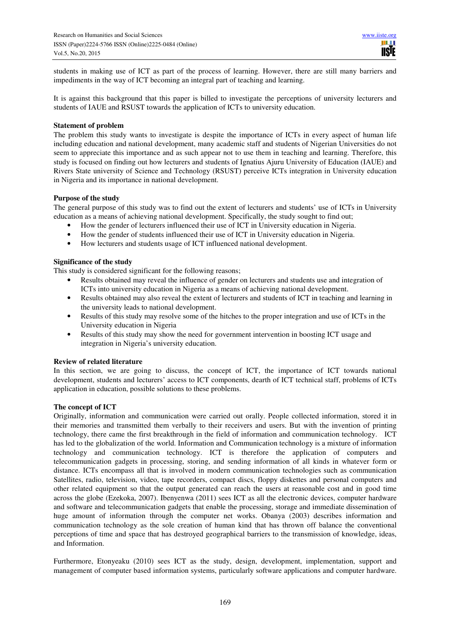students in making use of ICT as part of the process of learning. However, there are still many barriers and impediments in the way of ICT becoming an integral part of teaching and learning.

It is against this background that this paper is billed to investigate the perceptions of university lecturers and students of IAUE and RSUST towards the application of ICTs to university education.

#### **Statement of problem**

The problem this study wants to investigate is despite the importance of ICTs in every aspect of human life including education and national development, many academic staff and students of Nigerian Universities do not seem to appreciate this importance and as such appear not to use them in teaching and learning. Therefore, this study is focused on finding out how lecturers and students of Ignatius Ajuru University of Education (IAUE) and Rivers State university of Science and Technology (RSUST) perceive ICTs integration in University education in Nigeria and its importance in national development.

#### **Purpose of the study**

The general purpose of this study was to find out the extent of lecturers and students' use of ICTs in University education as a means of achieving national development. Specifically, the study sought to find out;

- How the gender of lecturers influenced their use of ICT in University education in Nigeria.
- How the gender of students influenced their use of ICT in University education in Nigeria.
- How lecturers and students usage of ICT influenced national development.

## **Significance of the study**

This study is considered significant for the following reasons;

- Results obtained may reveal the influence of gender on lecturers and students use and integration of ICTs into university education in Nigeria as a means of achieving national development.
- Results obtained may also reveal the extent of lecturers and students of ICT in teaching and learning in the university leads to national development.
- Results of this study may resolve some of the hitches to the proper integration and use of ICTs in the University education in Nigeria
- Results of this study may show the need for government intervention in boosting ICT usage and integration in Nigeria's university education.

## **Review of related literature**

In this section, we are going to discuss, the concept of ICT, the importance of ICT towards national development, students and lecturers' access to ICT components, dearth of ICT technical staff, problems of ICTs application in education, possible solutions to these problems.

## **The concept of ICT**

Originally, information and communication were carried out orally. People collected information, stored it in their memories and transmitted them verbally to their receivers and users. But with the invention of printing technology, there came the first breakthrough in the field of information and communication technology. ICT has led to the globalization of the world. Information and Communication technology is a mixture of information technology and communication technology. ICT is therefore the application of computers and telecommunication gadgets in processing, storing, and sending information of all kinds in whatever form or distance. ICTs encompass all that is involved in modern communication technologies such as communication Satellites, radio, television, video, tape recorders, compact discs, floppy diskettes and personal computers and other related equipment so that the output generated can reach the users at reasonable cost and in good time across the globe (Ezekoka, 2007). Ibenyenwa (2011) sees ICT as all the electronic devices, computer hardware and software and telecommunication gadgets that enable the processing, storage and immediate dissemination of huge amount of information through the computer net works. Obanya (2003) describes information and communication technology as the sole creation of human kind that has thrown off balance the conventional perceptions of time and space that has destroyed geographical barriers to the transmission of knowledge, ideas, and Information.

Furthermore, Etonyeaku (2010) sees ICT as the study, design, development, implementation, support and management of computer based information systems, particularly software applications and computer hardware.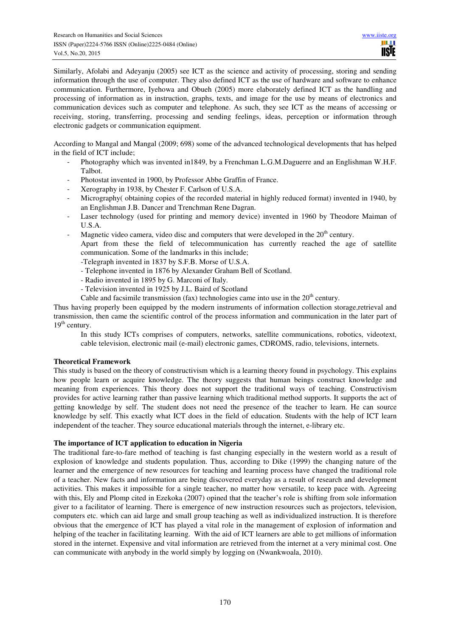Similarly, Afolabi and Adeyanju (2005) see ICT as the science and activity of processing, storing and sending information through the use of computer. They also defined ICT as the use of hardware and software to enhance communication. Furthermore, Iyehowa and Obueh (2005) more elaborately defined ICT as the handling and processing of information as in instruction, graphs, texts, and image for the use by means of electronics and communication devices such as computer and telephone. As such, they see ICT as the means of accessing or receiving, storing, transferring, processing and sending feelings, ideas, perception or information through electronic gadgets or communication equipment.

According to Mangal and Mangal (2009; 698) some of the advanced technological developments that has helped in the field of ICT include;

- Photography which was invented in1849, by a Frenchman L.G.M.Daguerre and an Englishman W.H.F. Talbot.
- Photostat invented in 1900, by Professor Abbe Graffin of France.
- Xerography in 1938, by Chester F. Carlson of U.S.A.
- Micrography( obtaining copies of the recorded material in highly reduced format) invented in 1940, by an Englishman J.B. Dancer and Trenchman Rene Dagran.
- Laser technology (used for printing and memory device) invented in 1960 by Theodore Maiman of U.S.A.
- Magnetic video camera, video disc and computers that were developed in the  $20<sup>th</sup>$  century.

Apart from these the field of telecommunication has currently reached the age of satellite communication. Some of the landmarks in this include;

- -Telegraph invented in 1837 by S.F.B. Morse of U.S.A.
- Telephone invented in 1876 by Alexander Graham Bell of Scotland.
- Radio invented in 1895 by G. Marconi of Italy.
- Television invented in 1925 by J.L. Baird of Scotland
- Cable and facsimile transmission (fax) technologies came into use in the  $20<sup>th</sup>$  century.

Thus having properly been equipped by the modern instruments of information collection storage,retrieval and transmission, then came the scientific control of the process information and communication in the later part of  $19<sup>th</sup>$  century.

In this study ICTs comprises of computers, networks, satellite communications, robotics, videotext, cable television, electronic mail (e-mail) electronic games, CDROMS, radio, televisions, internets.

## **Theoretical Framework**

This study is based on the theory of constructivism which is a learning theory found in psychology. This explains how people learn or acquire knowledge. The theory suggests that human beings construct knowledge and meaning from experiences. This theory does not support the traditional ways of teaching. Constructivism provides for active learning rather than passive learning which traditional method supports. It supports the act of getting knowledge by self. The student does not need the presence of the teacher to learn. He can source knowledge by self. This exactly what ICT does in the field of education. Students with the help of ICT learn independent of the teacher. They source educational materials through the internet, e-library etc.

## **The importance of ICT application to education in Nigeria**

The traditional fare-to-fare method of teaching is fast changing especially in the western world as a result of explosion of knowledge and students population. Thus, according to Dike (1999) the changing nature of the learner and the emergence of new resources for teaching and learning process have changed the traditional role of a teacher. New facts and information are being discovered everyday as a result of research and development activities. This makes it impossible for a single teacher, no matter how versatile, to keep pace with. Agreeing with this, Ely and Plomp cited in Ezekoka (2007) opined that the teacher's role is shifting from sole information giver to a facilitator of learning. There is emergence of new instruction resources such as projectors, television, computers etc. which can aid large and small group teaching as well as individualized instruction. It is therefore obvious that the emergence of ICT has played a vital role in the management of explosion of information and helping of the teacher in facilitating learning. With the aid of ICT learners are able to get millions of information stored in the internet. Expensive and vital information are retrieved from the internet at a very minimal cost. One can communicate with anybody in the world simply by logging on (Nwankwoala, 2010).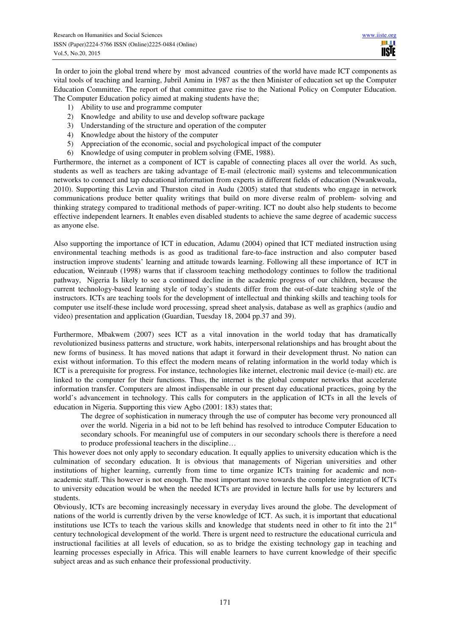ШT **TISIE** 

 In order to join the global trend where by most advanced countries of the world have made ICT components as vital tools of teaching and learning, Jubril Aminu in 1987 as the then Minister of education set up the Computer Education Committee. The report of that committee gave rise to the National Policy on Computer Education. The Computer Education policy aimed at making students have the;

- 1) Ability to use and programme computer
- 2) Knowledge and ability to use and develop software package
- 3) Understanding of the structure and operation of the computer
- 4) Knowledge about the history of the computer
- 5) Appreciation of the economic, social and psychological impact of the computer
- 6) Knowledge of using computer in problem solving (FME, 1988).

Furthermore, the internet as a component of ICT is capable of connecting places all over the world. As such, students as well as teachers are taking advantage of E-mail (electronic mail) systems and telecommunication networks to connect and tap educational information from experts in different fields of education (Nwankwoala, 2010). Supporting this Levin and Thurston cited in Audu (2005) stated that students who engage in network communications produce better quality writings that build on more diverse realm of problem- solving and thinking strategy compared to traditional methods of paper-writing. ICT no doubt also help students to become effective independent learners. It enables even disabled students to achieve the same degree of academic success as anyone else.

Also supporting the importance of ICT in education, Adamu (2004) opined that ICT mediated instruction using environmental teaching methods is as good as traditional fare-to-face instruction and also computer based instruction improve students' learning and attitude towards learning. Following all these importance of ICT in education, Weinraub (1998) warns that if classroom teaching methodology continues to follow the traditional pathway, Nigeria Is likely to see a continued decline in the academic progress of our children, because the current technology-based learning style of today's students differ from the out-of-date teaching style of the instructors. ICTs are teaching tools for the development of intellectual and thinking skills and teaching tools for computer use itself-these include word processing, spread sheet analysis, database as well as graphics (audio and video) presentation and application (Guardian, Tuesday 18, 2004 pp.37 and 39).

Furthermore, Mbakwem (2007) sees ICT as a vital innovation in the world today that has dramatically revolutionized business patterns and structure, work habits, interpersonal relationships and has brought about the new forms of business. It has moved nations that adapt it forward in their development thrust. No nation can exist without information. To this effect the modern means of relating information in the world today which is ICT is a prerequisite for progress. For instance, technologies like internet, electronic mail device (e-mail) etc. are linked to the computer for their functions. Thus, the internet is the global computer networks that accelerate information transfer. Computers are almost indispensable in our present day educational practices, going by the world's advancement in technology. This calls for computers in the application of ICTs in all the levels of education in Nigeria. Supporting this view Agbo (2001: 183) states that;

The degree of sophistication in numeracy through the use of computer has become very pronounced all over the world. Nigeria in a bid not to be left behind has resolved to introduce Computer Education to secondary schools. For meaningful use of computers in our secondary schools there is therefore a need to produce professional teachers in the discipline…

This however does not only apply to secondary education. It equally applies to university education which is the culmination of secondary education. It is obvious that managements of Nigerian universities and other institutions of higher learning, currently from time to time organize ICTs training for academic and nonacademic staff. This however is not enough. The most important move towards the complete integration of ICTs to university education would be when the needed ICTs are provided in lecture halls for use by lecturers and students.

Obviously, ICTs are becoming increasingly necessary in everyday lives around the globe. The development of nations of the world is currently driven by the verse knowledge of ICT. As such, it is important that educational institutions use ICTs to teach the various skills and knowledge that students need in other to fit into the 21<sup>st</sup> century technological development of the world. There is urgent need to restructure the educational curricula and instructional facilities at all levels of education, so as to bridge the existing technology gap in teaching and learning processes especially in Africa. This will enable learners to have current knowledge of their specific subject areas and as such enhance their professional productivity.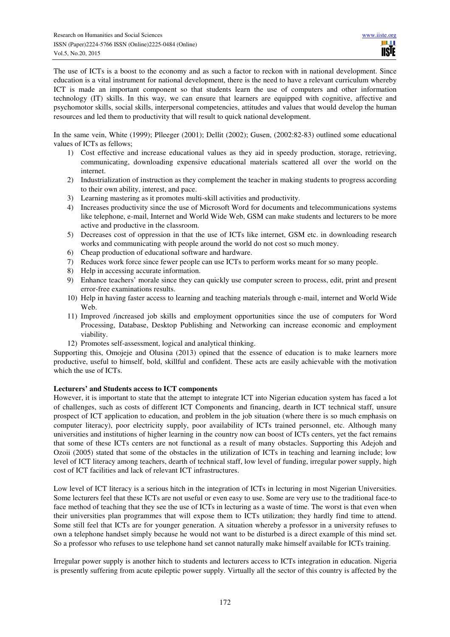The use of ICTs is a boost to the economy and as such a factor to reckon with in national development. Since education is a vital instrument for national development, there is the need to have a relevant curriculum whereby ICT is made an important component so that students learn the use of computers and other information technology (IT) skills. In this way, we can ensure that learners are equipped with cognitive, affective and psychomotor skills, social skills, interpersonal competencies, attitudes and values that would develop the human resources and led them to productivity that will result to quick national development.

In the same vein, White (1999); Plleeger (2001); Dellit (2002); Gusen, (2002:82-83) outlined some educational values of ICTs as fellows;

- 1) Cost effective and increase educational values as they aid in speedy production, storage, retrieving, communicating, downloading expensive educational materials scattered all over the world on the internet.
- 2) Industrialization of instruction as they complement the teacher in making students to progress according to their own ability, interest, and pace.
- 3) Learning mastering as it promotes multi-skill activities and productivity.
- 4) Increases productivity since the use of Microsoft Word for documents and telecommunications systems like telephone, e-mail, Internet and World Wide Web, GSM can make students and lecturers to be more active and productive in the classroom.
- 5) Decreases cost of oppression in that the use of ICTs like internet, GSM etc. in downloading research works and communicating with people around the world do not cost so much money.
- 6) Cheap production of educational software and hardware.
- 7) Reduces work force since fewer people can use ICTs to perform works meant for so many people.
- 8) Help in accessing accurate information.
- 9) Enhance teachers' morale since they can quickly use computer screen to process, edit, print and present error-free examinations results.
- 10) Help in having faster access to learning and teaching materials through e-mail, internet and World Wide Web.
- 11) Improved /increased job skills and employment opportunities since the use of computers for Word Processing, Database, Desktop Publishing and Networking can increase economic and employment viability.
- 12) Promotes self-assessment, logical and analytical thinking.

Supporting this, Omojeje and Olusina (2013) opined that the essence of education is to make learners more productive, useful to himself, bold, skillful and confident. These acts are easily achievable with the motivation which the use of ICTs.

## **Lecturers' and Students access to ICT components**

However, it is important to state that the attempt to integrate ICT into Nigerian education system has faced a lot of challenges, such as costs of different ICT Components and financing, dearth in ICT technical staff, unsure prospect of ICT application to education, and problem in the job situation (where there is so much emphasis on computer literacy), poor electricity supply, poor availability of ICTs trained personnel, etc. Although many universities and institutions of higher learning in the country now can boost of ICTs centers, yet the fact remains that some of these ICTs centers are not functional as a result of many obstacles. Supporting this Adejoh and Ozoii (2005) stated that some of the obstacles in the utilization of ICTs in teaching and learning include; low level of ICT literacy among teachers, dearth of technical staff, low level of funding, irregular power supply, high cost of ICT facilities and lack of relevant ICT infrastructures.

Low level of ICT literacy is a serious hitch in the integration of ICTs in lecturing in most Nigerian Universities. Some lecturers feel that these ICTs are not useful or even easy to use. Some are very use to the traditional face-to face method of teaching that they see the use of ICTs in lecturing as a waste of time. The worst is that even when their universities plan programmes that will expose them to ICTs utilization; they hardly find time to attend. Some still feel that ICTs are for younger generation. A situation whereby a professor in a university refuses to own a telephone handset simply because he would not want to be disturbed is a direct example of this mind set. So a professor who refuses to use telephone hand set cannot naturally make himself available for ICTs training.

Irregular power supply is another hitch to students and lecturers access to ICTs integration in education. Nigeria is presently suffering from acute epileptic power supply. Virtually all the sector of this country is affected by the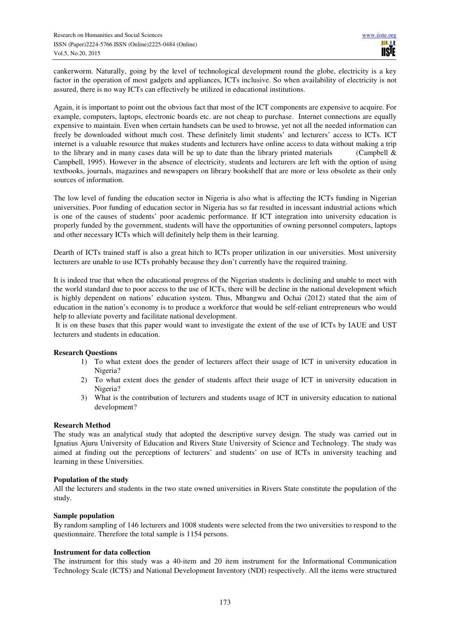cankerworm. Naturally, going by the level of technological development round the globe, electricity is a key factor in the operation of most gadgets and appliances, ICTs inclusive. So when availability of electricity is not assured, there is no way ICTs can effectively be utilized in educational institutions.

Again, it is important to point out the obvious fact that most of the ICT components are expensive to acquire. For example, computers, laptops, electronic boards etc. are not cheap to purchase. Internet connections are equally expensive to maintain. Even when certain handsets can be used to browse, yet not all the needed information can freely be downloaded without much cost. These definitely limit students' and lecturers' access to ICTs. ICT internet is a valuable resource that makes students and lecturers have online access to data without making a trip to the library and in many cases data will be up to date than the library printed materials (Campbell  $\&$ Campbell, 1995). However in the absence of electricity, students and lecturers are left with the option of using textbooks, journals, magazines and newspapers on library bookshelf that are more or less obsolete as their only sources of information.

The low level of funding the education sector in Nigeria is also what is affecting the ICTs funding in Nigerian universities. Poor funding of education sector in Nigeria has so far resulted in incessant industrial actions which is one of the causes of students' poor academic performance. If ICT integration into university education is properly funded by the government, students will have the opportunities of owning personnel computers, laptops and other necessary ICTs which will definitely help them in their learning.

Dearth of ICTs trained staff is also a great hitch to ICTs proper utilization in our universities. Most university lecturers are unable to use ICTs probably because they don't currently have the required training.

It is indeed true that when the educational progress of the Nigerian students is declining and unable to meet with the world standard due to poor access to the use of ICTs, there will be decline in the national development which is highly dependent on nations' education system. Thus, Mbangwu and Ochai (2012) stated that the aim of education in the nation's economy is to produce a workforce that would be self-reliant entrepreneurs who would help to alleviate poverty and facilitate national development.

 It is on these bases that this paper would want to investigate the extent of the use of ICTs by IAUE and UST lecturers and students in education.

## **Research Questions**

- 1) To what extent does the gender of lecturers affect their usage of ICT in university education in Nigeria?
- 2) To what extent does the gender of students affect their usage of ICT in university education in Nigeria?
- 3) What is the contribution of lecturers and students usage of ICT in university education to national development?

## **Research Method**

The study was an analytical study that adopted the descriptive survey design. The study was carried out in Ignatius Ajuru University of Education and Rivers State University of Science and Technology. The study was aimed at finding out the perceptions of lecturers' and students' on use of ICTs in university teaching and learning in these Universities.

## **Population of the study**

All the lecturers and students in the two state owned universities in Rivers State constitute the population of the study.

## **Sample population**

By random sampling of 146 lecturers and 1008 students were selected from the two universities to respond to the questionnaire. Therefore the total sample is 1154 persons.

## **Instrument for data collection**

The instrument for this study was a 40-item and 20 item instrument for the Informational Communication Technology Scale (ICTS) and National Development Inventory (NDI) respectively. All the items were structured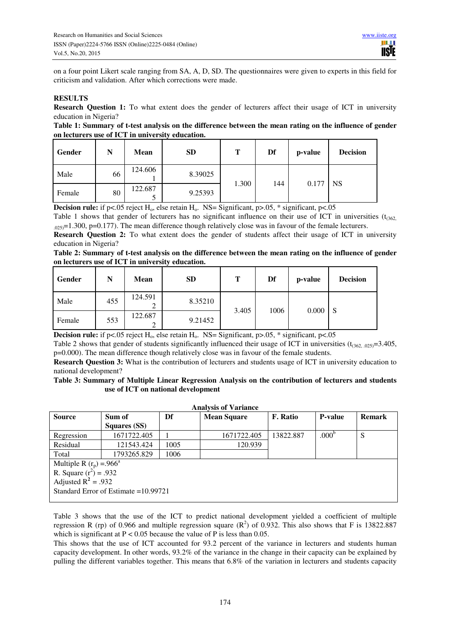on a four point Likert scale ranging from SA, A, D, SD. The questionnaires were given to experts in this field for criticism and validation. After which corrections were made.

## **RESULTS**

**Research Question 1:** To what extent does the gender of lecturers affect their usage of ICT in university education in Nigeria?

#### **Table 1: Summary of t-test analysis on the difference between the mean rating on the influence of gender on lecturers use of ICT in university education.**

| Gender | N  | <b>Mean</b> | SD      | Т     | Df  | p-value | <b>Decision</b> |
|--------|----|-------------|---------|-------|-----|---------|-----------------|
| Male   | 66 | 124.606     | 8.39025 |       | 144 |         | <b>NS</b>       |
| Female | 80 | 122.687     | 9.25393 | 1.300 |     | 0.177   |                 |

**Decision rule:** if p<.05 reject  $H_0$ , else retain  $H_0$ . NS= Significant, p>.05, \* significant, p<.05

Table 1 shows that gender of lecturers has no significant influence on their use of ICT in universities  $(t<sub>362</sub>)$  $_{.025}$ =1.300, p=0.177). The mean difference though relatively close was in favour of the female lecturers.

**Research Question 2:** To what extent does the gender of students affect their usage of ICT in university education in Nigeria?

**Table 2: Summary of t-test analysis on the difference between the mean rating on the influence of gender on lecturers use of ICT in university education.** 

| Gender | N   | Mean                   | <b>SD</b> | т     | Df   | p-value | <b>Decision</b> |
|--------|-----|------------------------|-----------|-------|------|---------|-----------------|
| Male   | 455 | 124.591<br>◠           | 8.35210   | 3.405 |      | 0.000   | <sub>S</sub>    |
| Female | 553 | 122.687<br>$\sim$<br>∠ | 9.21452   |       | 1006 |         |                 |

**Decision rule:** if p<.05 reject H<sub>0</sub>, else retain H<sub>0</sub>. NS= Significant, p>.05, \* significant, p<.05

Table 2 shows that gender of students significantly influenced their usage of ICT in universities  $(t_{(362, .025)}=3.405,$ p=0.000). The mean difference though relatively close was in favour of the female students.

**Research Question 3:** What is the contribution of lecturers and students usage of ICT in university education to national development?

## **Table 3: Summary of Multiple Linear Regression Analysis on the contribution of lecturers and students use of ICT on national development**

| <b>Analysis of Variance</b>            |                     |      |                    |                 |                   |               |  |  |
|----------------------------------------|---------------------|------|--------------------|-----------------|-------------------|---------------|--|--|
| <b>Source</b>                          | Sum of              |      | <b>Mean Square</b> | <b>F.</b> Ratio | <b>P-value</b>    | <b>Remark</b> |  |  |
|                                        | <b>Squares (SS)</b> |      |                    |                 |                   |               |  |  |
| Regression                             | 1671722.405         |      | 1671722.405        | 13822.887       | .000 <sup>b</sup> | S             |  |  |
| Residual                               | 121543.424          | 1005 | 120.939            |                 |                   |               |  |  |
| Total                                  | 1793265.829         | 1006 |                    |                 |                   |               |  |  |
| Multiple R $(r_p) = .966^a$            |                     |      |                    |                 |                   |               |  |  |
| R. Square $(r^2) = .932$               |                     |      |                    |                 |                   |               |  |  |
| Adjusted $R^2$ = .932                  |                     |      |                    |                 |                   |               |  |  |
| Standard Error of Estimate $=10.99721$ |                     |      |                    |                 |                   |               |  |  |
|                                        |                     |      |                    |                 |                   |               |  |  |

Table 3 shows that the use of the ICT to predict national development yielded a coefficient of multiple regression R (rp) of 0.966 and multiple regression square  $(R^2)$  of 0.932. This also shows that F is 13822.887 which is significant at  $P < 0.05$  because the value of P is less than 0.05.

This shows that the use of ICT accounted for 93.2 percent of the variance in lecturers and students human capacity development. In other words, 93.2% of the variance in the change in their capacity can be explained by pulling the different variables together. This means that 6.8% of the variation in lecturers and students capacity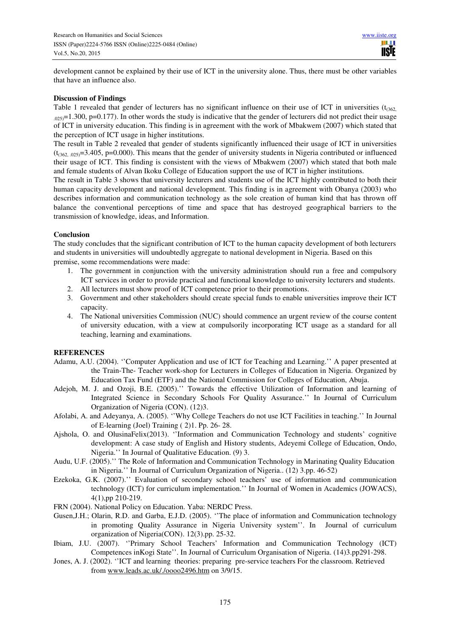development cannot be explained by their use of ICT in the university alone. Thus, there must be other variables that have an influence also.

#### **Discussion of Findings**

Table 1 revealed that gender of lecturers has no significant influence on their use of ICT in universities  $(t_{(362)}$  $.025$ =1.300, p=0.177). In other words the study is indicative that the gender of lecturers did not predict their usage of ICT in university education. This finding is in agreement with the work of Mbakwem (2007) which stated that the perception of ICT usage in higher institutions.

The result in Table 2 revealed that gender of students significantly influenced their usage of ICT in universities  $(t<sub>(1662,025)</sub>=3.405, p=0.000)$ . This means that the gender of university students in Nigeria contributed or influenced their usage of ICT. This finding is consistent with the views of Mbakwem (2007) which stated that both male and female students of Alvan Ikoku College of Education support the use of ICT in higher institutions.

The result in Table 3 shows that university lecturers and students use of the ICT highly contributed to both their human capacity development and national development. This finding is in agreement with Obanya (2003) who describes information and communication technology as the sole creation of human kind that has thrown off balance the conventional perceptions of time and space that has destroyed geographical barriers to the transmission of knowledge, ideas, and Information.

#### **Conclusion**

The study concludes that the significant contribution of ICT to the human capacity development of both lecturers and students in universities will undoubtedly aggregate to national development in Nigeria. Based on this premise, some recommendations were made:

- 1. The government in conjunction with the university administration should run a free and compulsory ICT services in order to provide practical and functional knowledge to university lecturers and students.
- 2. All lecturers must show proof of ICT competence prior to their promotions.
- 3. Government and other stakeholders should create special funds to enable universities improve their ICT capacity.
- 4. The National universities Commission (NUC) should commence an urgent review of the course content of university education, with a view at compulsorily incorporating ICT usage as a standard for all teaching, learning and examinations.

## **REFERENCES**

- Adamu, A.U. (2004). ''Computer Application and use of ICT for Teaching and Learning.'' A paper presented at the Train-The- Teacher work-shop for Lecturers in Colleges of Education in Nigeria. Organized by Education Tax Fund (ETF) and the National Commission for Colleges of Education, Abuja.
- Adejoh, M. J. and Ozoji, B.E. (2005).'' Towards the effective Utilization of Information and learning of Integrated Science in Secondary Schools For Quality Assurance.'' In Journal of Curriculum Organization of Nigeria (CON). (12)3.
- Afolabi, A. and Adeyanya, A. (2005). ''Why College Teachers do not use ICT Facilities in teaching.'' In Journal of E-learning (Joel) Training ( 2)1. Pp. 26- 28.
- Ajshola, O. and OlusinaFelix(2013). ''Information and Communication Technology and students' cognitive development: A case study of English and History students, Adeyemi College of Education, Ondo, Nigeria.'' In Journal of Qualitative Education. (9) 3.
- Audu, U.F. (2005).'' The Role of Information and Communication Technology in Marinating Quality Education in Nigeria.'' In Journal of Curriculum Organization of Nigeria.. (12) 3.pp. 46-52)
- Ezekoka, G.K. (2007).'' Evaluation of secondary school teachers' use of information and communication technology (ICT) for curriculum implementation.'' In Journal of Women in Academics (JOWACS), 4(1),pp 210-219.
- FRN (2004). National Policy on Education. Yaba: NERDC Press.
- Gusen,J.H.; Olarin, R.D. and Garba, E.J.D. (2005). ''The place of information and Communication technology in promoting Quality Assurance in Nigeria University system''. In Journal of curriculum organization of Nigeria(CON). 12(3).pp. 25-32.
- Ibiam, J.U. (2007). ''Primary School Teachers' Information and Communication Technology (ICT) Competences inKogi State''. In Journal of Curriculum Organisation of Nigeria. (14)3.pp291-298.
- Jones, A. J. (2002). ''ICT and learning theories: preparing pre-service teachers For the classroom. Retrieved from www.leads.ac.uk/./oooo2496.htm on 3/9/15.